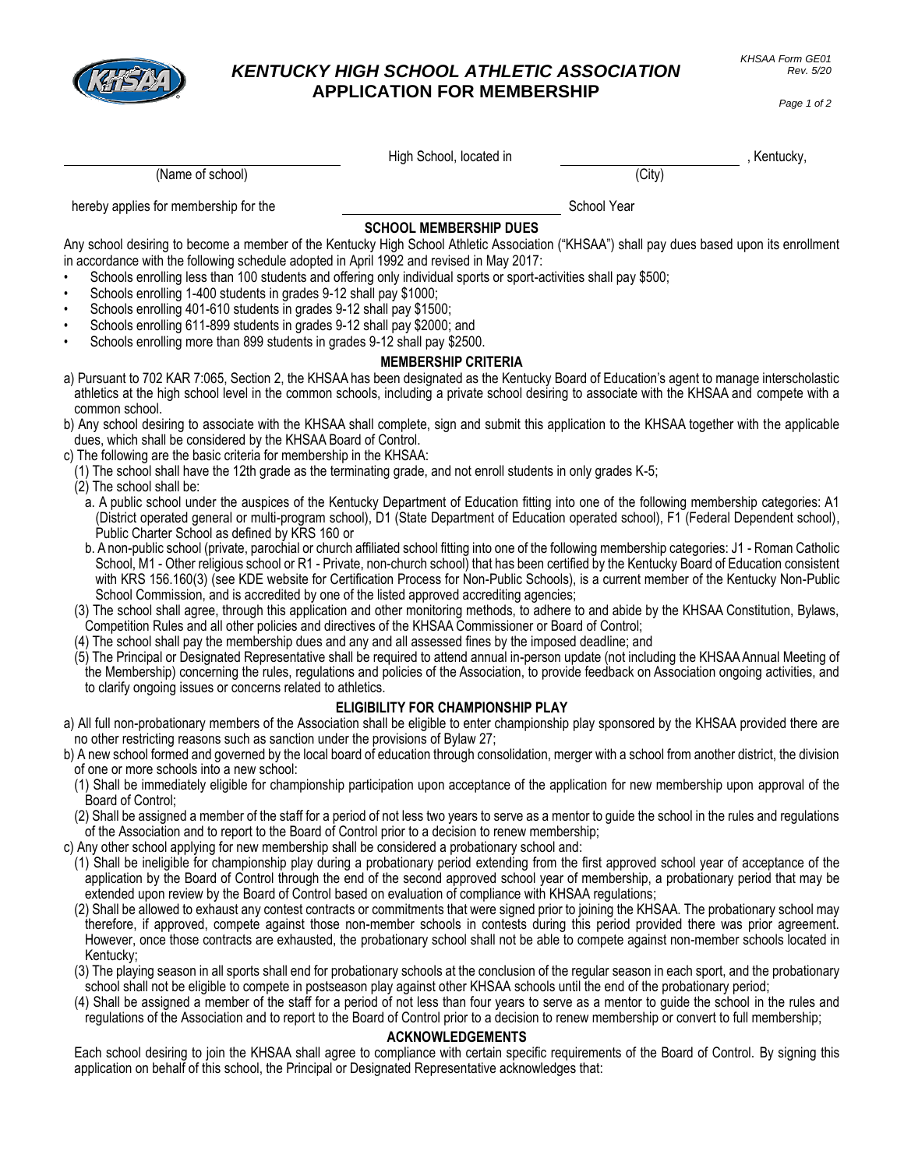

## *KENTUCKY HIGH SCHOOL ATHLETIC ASSOCIATION* **APPLICATION FOR MEMBERSHIP**

*Page 1 of 2*

| (Name of school)                                                                                                                                                                                                                                                                                                                                                                                                                                                                                                                                                                                                                                                                                                    | High School, located in       | (City)      | , Kentucky, |
|---------------------------------------------------------------------------------------------------------------------------------------------------------------------------------------------------------------------------------------------------------------------------------------------------------------------------------------------------------------------------------------------------------------------------------------------------------------------------------------------------------------------------------------------------------------------------------------------------------------------------------------------------------------------------------------------------------------------|-------------------------------|-------------|-------------|
| hereby applies for membership for the                                                                                                                                                                                                                                                                                                                                                                                                                                                                                                                                                                                                                                                                               |                               | School Year |             |
|                                                                                                                                                                                                                                                                                                                                                                                                                                                                                                                                                                                                                                                                                                                     | <b>SCHOOL MEMBERSHIP DUES</b> |             |             |
| Any school desiring to become a member of the Kentucky High School Athletic Association ("KHSAA") shall pay dues based upon its enrollment<br>in accordance with the following schedule adopted in April 1992 and revised in May 2017:<br>Schools enrolling less than 100 students and offering only individual sports or sport-activities shall pay \$500;<br>Schools enrolling 1-400 students in grades 9-12 shall pay \$1000;<br>$\bullet$<br>Schools enrolling 401-610 students in grades 9-12 shall pay \$1500;<br>$\bullet$<br>Schools enrolling 611-899 students in grades 9-12 shall pay \$2000; and<br>$\bullet$<br>Schools enrolling more than 899 students in grades 9-12 shall pay \$2500.<br>$\bullet$ | <b>MEMBERSHIP CRITERIA</b>    |             |             |
| a) Pursuant to 702 KAR 7:065, Section 2, the KHSAA has been designated as the Kentucky Board of Education's agent to manage interscholastic<br>athletics at the high school level in the common schools, including a private school desiring to associate with the KHSAA and compete with a<br>common school.                                                                                                                                                                                                                                                                                                                                                                                                       |                               |             |             |
| b) Any school desiring to associate with the KHSAA shall complete, sign and submit this application to the KHSAA together with the applicable<br>dues, which shall be considered by the KHSAA Board of Control.                                                                                                                                                                                                                                                                                                                                                                                                                                                                                                     |                               |             |             |
| c) The following are the basic criteria for membership in the KHSAA:<br>(1) The school shall have the 12th grade as the terminating grade, and not enroll students in only grades K-5;<br>(2) The school shall be:                                                                                                                                                                                                                                                                                                                                                                                                                                                                                                  |                               |             |             |
| a. A public school under the auspices of the Kentucky Department of Education fitting into one of the following membership categories: A1<br>(District operated general or multi-program school), D1 (State Department of Education operated school), F1 (Federal Dependent school),<br>Public Charter School as defined by KRS 160 or                                                                                                                                                                                                                                                                                                                                                                              |                               |             |             |
| b. A non-public school (private, parochial or church affiliated school fitting into one of the following membership categories: J1 - Roman Catholic<br>School, M1 - Other religious school or R1 - Private, non-church school) that has been certified by the Kentucky Board of Education consistent<br>with KRS 156.160(3) (see KDE website for Certification Process for Non-Public Schools), is a current member of the Kentucky Non-Public<br>School Commission, and is accredited by one of the listed approved accrediting agencies;                                                                                                                                                                          |                               |             |             |
| (3) The school shall agree, through this application and other monitoring methods, to adhere to and abide by the KHSAA Constitution, Bylaws,<br>Competition Rules and all other policies and directives of the KHSAA Commissioner or Board of Control;<br>(4) The school shall pay the membership dues and any and all assessed fines by the imposed deadline; and                                                                                                                                                                                                                                                                                                                                                  |                               |             |             |
| (5) The Principal or Designated Representative shall be required to attend annual in-person update (not including the KHSAA Annual Meeting of<br>the Membership) concerning the rules, regulations and policies of the Association, to provide feedback on Association ongoing activities, and<br>to clarify ongoing issues or concerns related to athletics.                                                                                                                                                                                                                                                                                                                                                       |                               |             |             |
| <b>ELIGIBILITY FOR CHAMPIONSHIP PLAY</b>                                                                                                                                                                                                                                                                                                                                                                                                                                                                                                                                                                                                                                                                            |                               |             |             |
| a) All full non-probationary members of the Association shall be eligible to enter championship play sponsored by the KHSAA provided there are<br>no other restricting reasons such as sanction under the provisions of Bylaw 27;                                                                                                                                                                                                                                                                                                                                                                                                                                                                                   |                               |             |             |
| b) A new school formed and governed by the local board of education through consolidation, merger with a school from another district, the division<br>of one or more schools into a new school:                                                                                                                                                                                                                                                                                                                                                                                                                                                                                                                    |                               |             |             |
| (1) Shall be immediately eligible for championship participation upon acceptance of the application for new membership upon approval of the<br>Board of Control:                                                                                                                                                                                                                                                                                                                                                                                                                                                                                                                                                    |                               |             |             |
| (2) Shall be assigned a member of the staff for a period of not less two years to serve as a mentor to guide the school in the rules and regulations<br>of the Association and to report to the Board of Control prior to a decision to renew membership;<br>c) Any other school applying for new membership shall be considered a probationary school and:                                                                                                                                                                                                                                                                                                                                                         |                               |             |             |
| (1) Shall be ineligible for championship play during a probationary period extending from the first approved school year of acceptance of the<br>application by the Board of Control through the end of the second approved school year of membership, a probationary period that may be<br>extended upon review by the Board of Control based on evaluation of compliance with KHSAA regulations;<br>(2) Shall be allowed to exhaust any contest contracts or commitments that were signed prior to joining the KHSAA. The probationary school may                                                                                                                                                                 |                               |             |             |
| therefore, if approved, compete against those non-member schools in contests during this period provided there was prior agreement.<br>However, once those contracts are exhausted, the probationary school shall not be able to compete against non-member schools located in<br>Kentucky;                                                                                                                                                                                                                                                                                                                                                                                                                         |                               |             |             |
| (3) The playing season in all sports shall end for probationary schools at the conclusion of the regular season in each sport, and the probationary<br>school shall not be eligible to compete in postseason play against other KHSAA schools until the end of the probationary period;<br>(4) Shall be assigned a member of the staff for a period of not less than four years to serve as a mentor to guide the school in the rules and<br>regulations of the Association and to report to the Board of Control prior to a decision to renew membership or convert to full membership;                                                                                                                            |                               |             |             |
| Each school desiring to join the KHSAA shall agree to compliance with certain specific requirements of the Board of Control. By signing this                                                                                                                                                                                                                                                                                                                                                                                                                                                                                                                                                                        | <b>ACKNOWLEDGEMENTS</b>       |             |             |
| application on behalf of this school, the Principal or Designated Representative acknowledges that:                                                                                                                                                                                                                                                                                                                                                                                                                                                                                                                                                                                                                 |                               |             |             |